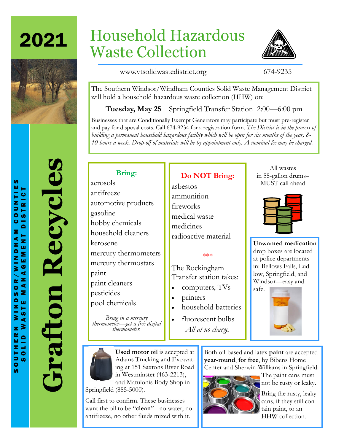2021



# Household Hazardous Waste Collection



www.vtsolidwastedistrict.org 674-9235

The Southern Windsor/Windham Counties Solid Waste Management District will hold a household hazardous waste collection (HHW) on:

**Tuesday, May 25** Springfield Transfer Station 2:00—6:00 pm

Businesses that are Conditionally Exempt Generators may participate but must pre-register and pay for disposal costs. Call 674-9234 for a registration form. *The District is in the process of building a permanent household hazardous facility which will be open for six months of the year, 8- 10 hours a week. Drop-off of materials will be by appointment only. A nominal fee may be charged.*

# **Grafton Recycles** Recycles Grafton

### **Bring:**

aerosols antifreeze automotive products gasoline hobby chemicals household cleaners kerosene mercury thermometers mercury thermostats paint paint cleaners pesticides pool chemicals

*Bring in a mercury thermometer—get a free digital thermometer.*

# **Do NOT Bring:**

asbestos ammunition fireworks medical waste medicines radioactive material

#### \*\*\*

The Rockingham Transfer station takes:

- computers, TVs
- printers
- household batteries
- fluorescent bulbs *All at no charge.*

All wastes in 55-gallon drums– MUST call ahead



**Unwanted medication**  drop boxes are located at police departments in: Bellows Falls, Ludlow, Springfield, and Windsor—easy and safe.





**Used motor oil** is accepted at Adams Trucking and Excavating at 151 Saxtons River Road in Westminster (463-2213), and Matulonis Body Shop in Springfield (885-5000).

Call first to confirm. These businesses want the oil to be "**clean**" - no water, no antifreeze, no other fluids mixed with it.

Both oil-based and latex **paint** are accepted **year-round**, **for free**, by Bibens Home Center and Sherwin-Williams in Springfield.



The paint cans must not be rusty or leaky.

**Bring the rusty, leaky** cans, if they still contain paint, to an HHW collection.